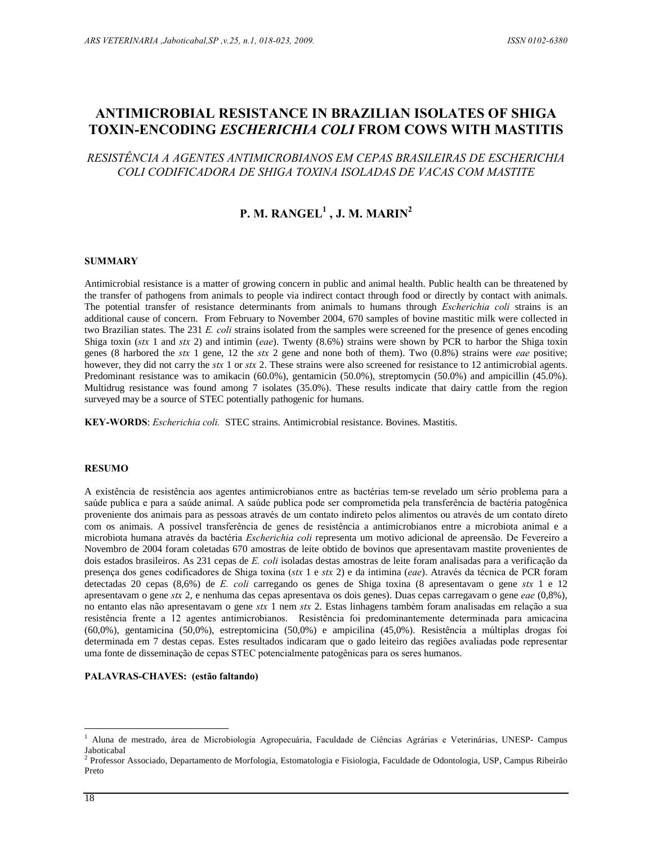## **RESISTANCE IN BRAZILIAN ISOLATES OF SHIGA** ANTIMICROBIAL RESISTANCE IN BRAZILIAN ISOLATES OF SHIGA<br>TOXIN-ENCODING *ESCHERICHIA COLI* FROM COWS WITH MASTITIS<br>RESISTÊNCIA A AGENTES ANTIMICROBIANOS EM CEPAS BRASILEIRAS DE ESCHERICHIA

## RESISTÊNCIA A AGENTES ANTIMICROBIANOS EM CEPAS BRASILEIRAS DE ESCHERICHIA<br>COLI CODIFICADORA DE SHIGA TOXINA ISOLADAS DE VACAS COM MASTITE

# **M. RANGEL J. M. MARIN**

## **SUMMARY**

Antimicrobial resistance is a matter of growing concern in public and animal health. Public health can be threatened by<br>the transfer of pathogens from animals to people via indirect contact through food or directly by cont the transfer of pathogens from animals to people via indirect contact through food or directly by contact with animals. additional cause of concern. From February to November 2004, 670 samples of bovine mastitic milk were collected in The potential transfer of resistance determinants from animals to humans through *Escherichia coli* strains is an additional cause of concern. From February to November 2004, 670 samples of bovine mastitic milk were collec two Brazilian states. The 231 E. coli strains isolated from the samples were screened for the presence of genes encoding Shiga toxin (stx 1 and stx 2) and intimin (eae). Twenty (8.6%) strains were shown by PCR to harbor t two Brazilian states. The 231 *E. coli* strains isolated from the samples were screened for the presence of genes encoding Shiga toxin (*stx* 1 and *stx* 2) and intimin (*eae*). Twenty (8.6%) strains were shown by PCR to Shiga toxin (*stx* 1 and *stx* 2) and intimin (*eae*). Twenty (8.6%) strains were shown by PCR to harbor the Shiga toxin genes (8 harbored the *stx* 1 gene, 12 the *stx* 2 gene and none both of them). Two (0.8%) strains w Predominant resistance was to amikacin (60.0%), gentamicin (50.0%), streptomycin (50.0%) and ampicillin (45.0%). Multidrug resistance was found among 7 isolates (35.0%). These results indicate that dairy cattle from the region surveyed may be a source of STEC potentially pathogenic for humans.

KEY-WORDS: Escherichia coli. STEC strains. Antimicrobial resistance. Bovines. Mastitis.

RESUMO<br>A existência de resistência aos agentes antimicrobianos entre as bactérias tem-se revelado um sério problema para a A existência de resistência aos agentes antimicrobianos entre as bactérias tem-se revelado um sério problema para a<br>saúde publica e para a saúde animal. A saúde publica pode ser comprometida pela transferência de bactéria A existência de resistência aos agentes antimicrobianos entre as bactérias tem-se revelado um sério problema para a<br>saúde publica e para a saúde animal. A saúde publica pode ser comprometida pela transferência de bactéria saúde publica e para a saúde animal. A saúde publica pode ser comprometida pela transferência de bactéria patogênica<br>proveniente dos animais para as pessoas através de um contato indireto pelos alimentos ou através de um c proveniente dos animais para as pessoas através de um contato indireto pelos alimentos ou através de um contato direto<br>
com os animais. A possível transferência de genes de resistência a antimicrobianos entre a microbiota Novembro de 2004 foram coletadas 670 amostras de leite obtido de bovinos que apresentavam mastite provenientes de microbiota humana através da bactéria *Escherichia coli* representa um motivo adicional de apreensão. De Fevereiro a<br>Novembro de 2004 foram coletadas 670 amostras de leite obtido de bovinos que apresentavam mastite proveni Novembro de 2004 foram coletadas 670 amostras de leite obtido de bovinos que apresentavam mastite provenientes de<br>dois estados brasileiros. As 231 cepas de *E. coli* isoladas destas amostras de leite foram analisadas para presença dos genes codificadores de Shiga toxina ( $stx$  1 e  $stx$  2) e da intimina (eae). Através da técnica de PCR foram detectadas 20 cepas (8,6%) de E. coli carregando os genes de Shiga toxina (8 apresentavam o gene  $stx$ presença dos genes codificadores de Shiga toxina (*stx* 1 e *stx* 2) e da intimina (*eae*). Através da técnica de PCR foram<br>detectadas 20 cepas (8,6%) de *E. coli* carregando os genes de Shiga toxina (8 apresentavam o gene detectadas 20 cepas (8,6%) de *E. coli* carregando os genes de Shiga toxina (8 apresentavam o gene stx 1 e 12 apresentavam o gene stx 2, e nenhuma das cepas apresentava os dois genes). Duas cepas carregavam o gene *eae* ( apresentavam o gene *stx* 2, e nenhuma das cepas apresentava os dois genes). Duas cepas carregavam o gene *eae* (0,8%), no entanto elas não apresentavam o gene *stx* 1 nem *stx* 2. Estas linhagens também foram analisadas e no entanto elas não apresentavam o gene *stx* 1 nem *stx* 2. Estas linhagens também foram analisadas em relação a sua<br>resistência frente a 12 agentes antimicrobianos. Resistência foi predominantemente determinada para amic resistência frente a 12 agentes antimicrobianos. Resistência foi predominantemente determinada para amicacina<br>(60,0%), gentamicina (50,0%), estreptomicina (50,0%) e ampicilina (45,0%). Resistência a múltiplas drogas foi<br>de (60,0%), gentamicina (50,0%), estreptomicina (50,0%) e ampicilina (45,0%). Resistência a determinada em 7 destas cepas. Estes resultados indicaram que o gado leiteiro das regiões avalia uma fonte de disseminação de cepas S uma fonte de disseminação de cepas STEC potencialmente patogênicas para os seres humanos.<br>**PALAVRAS-CHAVES:** (estão faltando)

<sup>&</sup>lt;sup>1</sup> Aluna de mestrado, área de Microbiologia Agropecuária, Faculdade de Ciências Agrárias e Veterinárias, UNESP- Campus<br>Jaboticabal

<sup>2</sup> Professor Associado, Departamento de Morfologia, Estomatologia e Fisiologia, Faculdade de Odontologia, USP, Campus Ribeirão Preto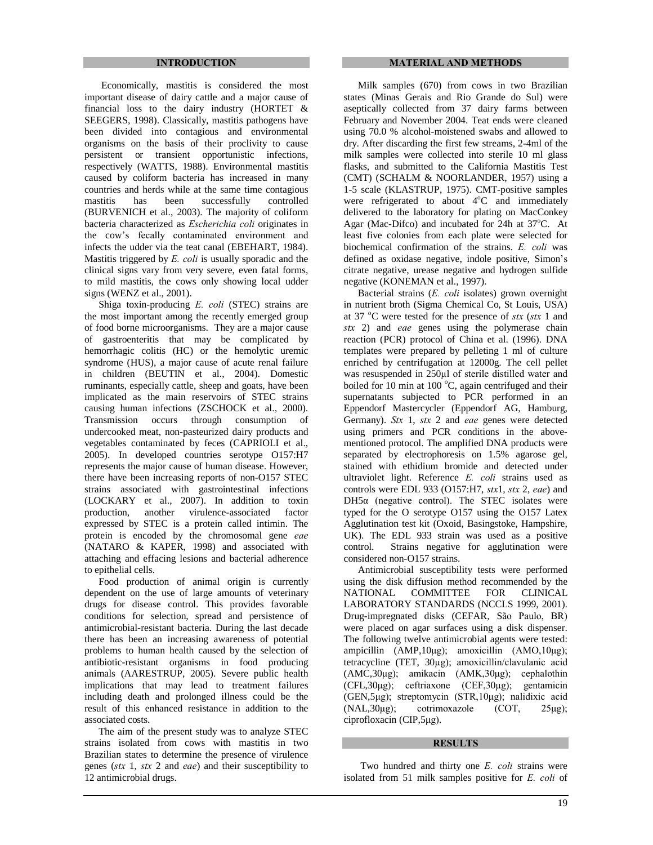Economically, mastitis is considered the most important disease of dairy cattle and a major cause of financial loss to the dairy industry (HORTET & SEEGERS, 1998). Classically, mastitis pathogens have been divided into contagious and environmental organisms on the basis of their proclivity to cause persistent or transient opportunistic infections, respectively (WATTS, 1988). Environmental mastitis caused by coliform bacteria has increased in many countries and herds while at the same time contagious mastitis has been successfully controlled (BURVENICH et al., 2003). The majority of coliform mastitis has been successfully controlled<br>(BURVENICH et al., 2003). The majority of coliform<br>bacteria characterized as *Escherichia coli* originates in (BURVENICH et al., 2003). The majority of coliform<br>bacteria characterized as *Escherichia coli* originates in<br>the cow's fecally contaminated environment and infects the udder via the teat canal (EBEHART, 1984). the cow's fecally contaminated environment and infects the udder via the teat canal (EBEHART, 1984). Mastitis triggered by  $E$ . *coli* is usually sporadic and the clinical signs vary from very severe, even fatal forms, to mild mastitis, the cows only showing local udder signs (WENZ et al., 2001).

Shiga toxin-producing E. coli (STEC) strains are the most important among the recently emerged group of food borne microorganisms. They are a major cause of gastroenteritis that may be complicated by hemorrhagic colitis (HC) or the hemolytic uremic syndrome (HUS), a major cause of acute renal failure in children (BEUTIN et al., 2004). Domestic ruminants, especially cattle, sheep and goats, have been implicated as the main reservoirs of STEC strains causing human infections (ZSCHOCK et al., 2000). Transmission occurs through consumption of undercooked meat, non-pasteurized dairy products and vegetables contaminated by feces (CAPRIOLI et al., 2005). In developed countries serotype O157:H7 represents the major cause of human disease. However, there have been increasing reports of non-O157 STEC strains associated with gastrointestinal infections (LOCKARY et al., 2007). In addition to toxin  $DH5\alpha$  (negative control). The STEC isolates were production, another virulence-associated factor expressed by STEC is a protein called intimin. The protein is encoded by the chromosomal gene *eae* expressed by STEC is a protein called intimin. The (NATARO & KAPER, 1998) and associated with attaching and effacing lesions and bacterial adherence to epithelial cells.

Food production of animal origin is currently dependent on the use of large amounts of veterinary MATIONAL drugs for disease control. This provides favorable conditions for selection, spread and persistence of antimicrobial-resistant bacteria. During the last decade there has been an increasing awareness of potential problems to human health caused by the selection of ampicillin (AMP,10µg); amoxicillin (AMO,10µg); antibiotic-resistant organisms in food producing tetracycline (TET, 30µg); amoxicillin/clavulanic acid animals (AARESTRUP, 2005). Severe public health implications that may lead to treatment failures including death and prolonged illness could be the result of this enhanced resistance in addition to the associated costs.

The aim of the present study was to analyze STEC strains isolated from cows with mastitis in two Brazilian states to determine the presence of virulence genes ( $stx$  1,  $stx$  2 and *eae*) and their susceptibility to Brazilian states to determine the presence of virulence 12 antimicrobial drugs.

Milk samples (670) from cows in two Brazilian states (Minas Gerais and Rio Grande do Sul) were aseptically collected from 37 dairy farms between February and November 2004. Teat ends were cleaned using 70.0 % alcohol-moistened swabs and allowed to dry. After discarding the first few streams, 2-4ml of the milk samples were collected into sterile 10 ml glass flasks, and submitted to the California Mastitis Test (CMT) (SCHALM & NOORLANDER, 1957) using a 1-5 scale (KLASTRUP, 1975). CMT-positive samples were refrigerated to about 4°C and immediately delivered to the laboratory for plating on MacConkey Agar (Mac-Difco) and incubated for 24h at  $37^{\circ}$ C. At least five colonies from each plate were selected for Agar (Mac-Difco) and incubated for 24h at  $37^{\circ}$ C. At least five colonies from each plate were selected for biochemical confirmation of the strains. *E. coli* was biochemical confirmation of the strains. E. coli was defined as oxidase negative, indole positive, Simon's citrate negative, urease negative and hydrogen sulfide negative (KONEMAN et al., 1997).<br>Bacterial strains (*E. coli* isolates) grown overnight negative (KONEMAN et al., 1997).

in nutrient broth (Sigma Chemical Co, St Louis, USA) Bacterial strains (*E. coli* isolates) grown overnight<br>in nutrient broth (Sigma Chemical Co, St Louis, USA)<br>at 37 °C were tested for the presence of *stx* (*stx* 1 and  $str$  2) and *eae* genes using the polymerase chain reaction (PCR) protocol of China et al. (1996). DNA templates were prepared by pelleting 1 ml of culture was resuspended in <sup>250</sup>µl of sterile distilled water and enriched by centrifugation at 12000g. The cell pellet boiled for 10 min at 100 $\degree$ C, again centrifuged and their supernatants subjected to PCR performed in an Eppendorf Mastercycler (Eppendorf AG, Hamburg, supernatants subjected to PCR performed in an<br>Eppendorf Mastercycler (Eppendorf AG, Hamburg,<br>Germany). *Stx* 1, *stx* 2 and *eae* genes were detected using primers and PCR conditions in the above mentioned protocol. The amplified DNA products were separated by electrophoresis on  $1.5\%$  agarose gel, stained with ethidium bromide and detected under ultraviolet light. Reference  $E$ . *coli* strains used as stained with ethidium bromide and detected under stained with ethidium bromide and detected under<br>ultraviolet light. Reference E. coli strains used as<br>controls were EDL 933 (O157:H7, stx1, stx 2, eae) and ultraviolet light. Reference *E. coli* strains used as controls were EDL 933 (O157:H7, *stx1*, *stx 2, eae*) and DH5 $\alpha$  (negative control). The STEC isolates were typed for the O serotype O157 using the O157 Latex Agglutination test kit (Oxoid, Basingstoke, Hampshire, UK). The EDL 933 strain was used as a positive Strains negative for agglutination were considered non-O157 strains.

Antimicrobial susceptibility tests were performed using the disk diffusion method recommended by the COMMITTEE FOR CLINICAL LABORATORY STANDARDS (NCCLS 1999, 2001). Drug-impregnated disks (CEFAR, São Paulo, BR) were placed on agar surfaces using a disk dispenser.<br>The following twelve antimicrobial agents were tested:<br>ampicillin (AMP,10µg); amoxicillin (AMO,10µg); The following twelve antimicrobial agents were tested: The following twelve antimicrobial agents were tested:<br>ampicillin (AMP,  $10\mu$ g); amoxicillin (AMO,  $10\mu$ g);<br>tetracycline (TET,  $30\mu$ g); amoxicillin/clavulanic acid ampicillin (AMP,10µg); amoxicillin (AMO,10µg);<br>tetracycline (TET, 30µg); amoxicillin/clavulanic acid<br>(AMC,30µg); amikacin (AMK,30µg); cephalothin tetracycline (TET, 30μg); amoxicillin/clavulanic acid<br>(AMC,30μg); amikacin (AMK,30μg); cephalothin<br>(CFL,30μg); ceftriaxone (CEF,30μg); gentamicin  $(AMC,30\mu g)$ ; amikacin  $(AMK,30\mu g)$ ; cephalothin  $(CEE, 30\mu g)$ ; ceftriaxone  $(CEF, 30\mu g)$ ; gentamicin<br>(GEN,5 $\mu g$ ); streptomycin (STR,10 $\mu g$ ); nalidixic acid<br>(NAL,30 $\mu g$ ); cotrimoxazole (COT, 25 $\mu g$ ); (GEN,5µg); streptomycin (STR,10µg); nalidixic acid (NAL,30µg); cortimoxazole (COT, 25µg); ciprofloxacin (CIP,5µg).

**RESULTS**<br>Two hundred and thirty one *E. coli* strains were isolated from <sup>51</sup> milk samples positive for E. coli of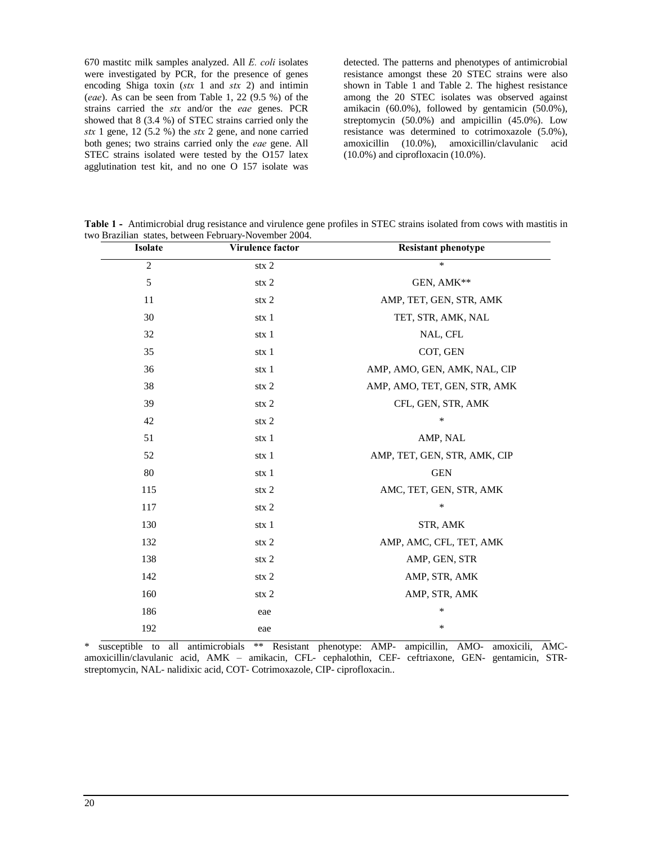<sup>670</sup> mastitc milk samples analyzed. All E. coli isolates were investigated by PCR, for the presence of genes 670 mastitc milk samples analyzed. All *E. coli* isolates were investigated by PCR, for the presence of genes encoding Shiga toxin (*stx* 1 and *stx* 2) and intimin were investigated by PCR, for the presence of genes<br>encoding Shiga toxin (*stx* 1 and *stx* 2) and intimin<br>(*eae*). As can be seen from Table 1, 22 (9.5 %) of the encoding Shiga toxin ( $stx$  1 and  $stx$  2) and intimin sho (*eae*). As can be seen from Table 1, 22 (9.5 %) of the ames strains carried the  $stx$  and/or the *eae* genes. PCR amis showed that 8 (3.4 %) of STEC strains carried showed that 8 (3.4 %) of STEC strains carried only the  $stx$  1 gene, 12 (5.2 %) the  $stx$  2 gene, and none carried both genes; two strains carried only the *eae* gene. All STEC strains isolated were tested by the O157 latex agglutination test kit, and no one O 157 isolate was

detected. The patterns and phenotypes of antimicrobial resistance amongst these 20 STEC strains were also shown in Table 1 and Table 2. The highest resistance among the 20 STEC isolates was observed against amikacin (60.0%), followed by gentamicin (50.0%), streptomycin (50.0%) and ampicillin (45.0%). Low resistance was determined to cotrimoxazole (5.0%), amoxicillin (10.0%), amoxicillin/clavulanic acid (10.0%) and ciprofloxacin (10.0%).

 **<sup>1</sup> -** Antimicrobial drug resistance and virulence gene profiles in STEC strains isolated from cows with mastitis in Table 1 - Antimicrobial drug resistance and virulence gene profiles in STEC strains isolated from cows with two Brazilian states, between February-November 2004.<br> **Isolate Virulence factor Resistant phenotype** 

| <b>Isolate</b> | Virulence factor | <b>Resistant phenotype</b>   |
|----------------|------------------|------------------------------|
| $\overline{2}$ | $\text{stx}$ 2   | $\ast$                       |
| 5              | $\text{stx}$ 2   | GEN, AMK**                   |
| 11             | $\text{stx}$ 2   | AMP, TET, GEN, STR, AMK      |
| 30             | stx 1            | TET, STR, AMK, NAL           |
| 32             | stx 1            | NAL, CFL                     |
| 35             | stx 1            | COT, GEN                     |
| 36             | stx 1            | AMP, AMO, GEN, AMK, NAL, CIP |
| 38             | $\text{stx}$ 2   | AMP, AMO, TET, GEN, STR, AMK |
| 39             | $\text{stx } 2$  | CFL, GEN, STR, AMK           |
| 42             | $\text{stx}$ 2   | $\ast$                       |
| 51             | stx 1            | AMP, NAL                     |
| 52             | stx 1            | AMP, TET, GEN, STR, AMK, CIP |
| 80             | stx 1            | <b>GEN</b>                   |
| 115            | $\text{stx}$ 2   | AMC, TET, GEN, STR, AMK      |
| 117            | $\text{stx}$ 2   | $\ast$                       |
| 130            | stx 1            | STR, AMK                     |
| 132            | $\text{stx } 2$  | AMP, AMC, CFL, TET, AMK      |
| 138            | $\text{stx}$ 2   | AMP, GEN, STR                |
| 142            | $\text{stx } 2$  | AMP, STR, AMK                |
| 160            | $\text{stx}$ 2   | AMP, STR, AMK                |
| 186            | eae              | $\ast$                       |
| 192            | eae              | ∗                            |

\* susceptible to all antimicrobials \*\* Resistant phenotype: AMP- ampicillin, AMO- amoxicili, AMC amoxicillin/clavulanic acid, AMK – amikacin, CFL- cephalothin, CEF- ceftriaxone, GEN- gentamicin, STR-<br>amoxicillin/clavulanic acid, AMK – amikacin, CFL- cephalothin, CEF- ceftriaxone, GEN- gentamicin, STRstreptomycin, NAL- nalidixic acid, COT- Cotrimoxazole, CIP- ciprofloxacin..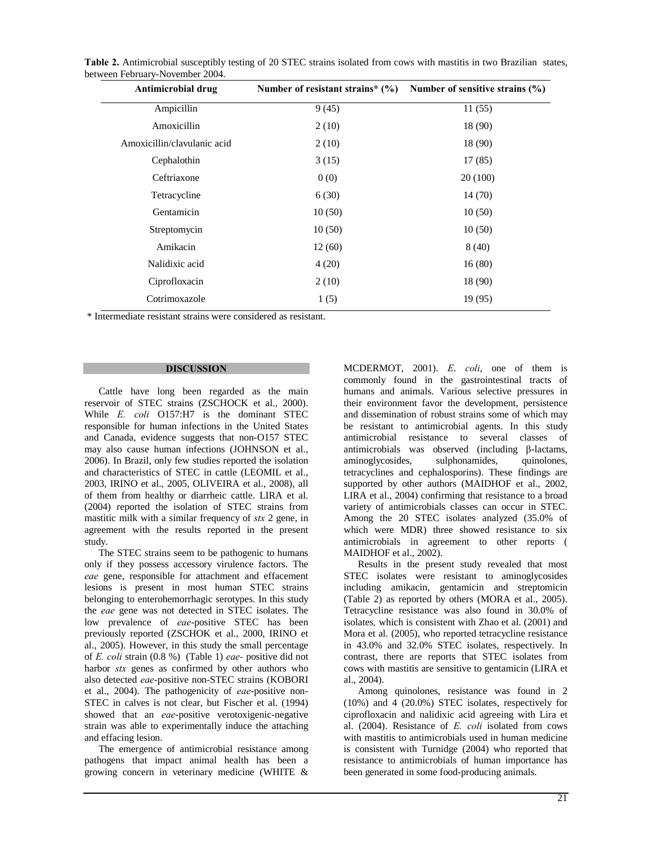| Antimicrobial drug          | Number of resistant strains* $(\%)$ | Number of sensitive strains $(\% )$ |
|-----------------------------|-------------------------------------|-------------------------------------|
| Ampicillin                  | 9(45)                               | 11(55)                              |
| Amoxicillin                 | 2(10)                               | 18 (90)                             |
| Amoxicillin/clavulanic acid | 2(10)                               | 18 (90)                             |
| Cephalothin                 | 3(15)                               | 17(85)                              |
| Ceftriaxone                 | 0(0)                                | 20(100)                             |
| Tetracycline                | 6(30)                               | 14 (70)                             |
| Gentamicin                  | 10(50)                              | 10(50)                              |
| Streptomycin                | 10(50)                              | 10(50)                              |
| Amikacin                    | 12(60)                              | 8(40)                               |
| Nalidixic acid              | 4(20)                               | 16(80)                              |
| Ciprofloxacin               | 2(10)                               | 18 (90)                             |
| Cotrimoxazole               | 1(5)                                | 19 (95)                             |
|                             |                                     |                                     |

 **2.** Antimicrobial susceptibly testing of <sup>20</sup> STEC strains isolated from cows with mastitis in two Brazilian states, between February-November 2004. **drug n n n c n n n** *cows* **example of** *complements n c <i>n c n c n drug* **<b>***n n n n n n n n n n n n n n n n*

\* Intermediate resistant strains were considered as resistant.

### **DISCUSSION**

Cattle have long been regarded as the main hun<br>
reservoir of STEC strains (ZSCHOCK et al., 2000). their<br>
While E. coli O157:H7 is the dominant STEC and reservoir of STEC strains (ZSCHOCK et al., 2000). responsible for human infections in the United States and Canada, evidence suggests that non-O157 STEC may also cause human infections (JOHNSON et al., 2006). In Brazil, only few studies reported the isolation and characteristics of STEC in cattle (LEOMIL et al., 2003, IRINO et al., 2005, OLIVEIRA et al., 2008), all of them from healthy or diarrheic cattle. LIRA et al. (2004) reported the isolation of STEC strains from % of them from healthy or diarrheic cattle. LIRA et al.<br>(2004) reported the isolation of STEC strains from mastitic milk with a similar frequency of  $stx$  2 gene, in agreement with the results reported in the present study.

The STEC strains seem to be pathogenic to humans only if they possess accessory virulence factors. The eae gene, responsible for attachment and effacement lesions is present in most human STEC strains belonging to enterohemorrhagic serotypes. In this study the each is present in most human STEC strains belonging to enterohemorrhagic serotypes. In this study the *eae* gene was not detected in STEC isolates. The belonging to enterohemorrhagic serotypes. In this study<br>the *eae* gene was not detected in STEC isolates. The<br>low prevalence of *eae*-positive STEC has been previously reported (ZSCHOK et al., 2000, IRINO et al., 2005). However, in this study the small percentage ir of *E. coli* strain (0.8 %) (Table 1) *eae*- positive did not co al., 2005). However, in this study the small percentage of E. coli strain  $(0.8\%)$  (Table 1) *eae*-positive did not al., 2005). However, in this study the small percentage<br>of E. coli strain  $(0.8\%)$  (Table 1) *eae*- positive did not<br>harbor *stx* genes as confirmed by other authors who of *E. coli* strain  $(0.8\%)$  (Table 1) *eae*-positive did not<br>harbor *stx* genes as confirmed by other authors who<br>also detected *eae*-positive non-STEC strains (KOBORI harbor *stx* genes as confirmed by other authors who also detected *eae*-positive non-STEC strains (KOBORI et al., 2004). The pathogenicity of *eae*-positive non-STEC in calves is not clear, but Fischer et al. (1994) et al., 2004). The pathogenicity of *eae*-positive non-<br>STEC in calves is not clear, but Fischer et al. (1994)<br>showed that an *eae*-positive verotoxigenic-negative strain was able to experimentally induce the attaching al. (2004). Resistance of E, coli isolated from cows and effacing lesion.

The emergence of antimicrobial resistance among pathogens that impact animal health has been a growing concern in veterinary medicine (WHITE &

MCDERMOT, 2001). E. coli, one of them is commonly found in the gastrointestinal tracts of humans and animals. Various selective pressures in their environment favor the development, persistence and dissemination of robust strains some of which may be resistant to antimicrobial agents. In this study antimicrobial resistance to several classes of antimicrobials was observed (including  $\beta$ -lactams, aminoglycosides, sulphonamides, quinolones, tetracyclines and cephalosporins). These findings are supported by other authors (MAIDHOF et al., 2002, LIRA et al., 2004) confirming that resistance to a broad variety of antimicrobials classes can occur in STEC. Among the 20 STEC isolates analyzed (35.0% of which were MDR) three showed resistance to six antimicrobials in agreement to other reports ( MAIDHOF et al., 2002).

Results in the present study revealed that most STEC isolates were resistant to aminoglycosides including amikacin, gentamicin and streptomicin (Table 2) as reported by others (MORA et al., 2005). Tetracycline resistance was also found in 30.0% of (Table 2) as reported by others (MORA et al., 2005).<br>Tetracycline resistance was also found in 30.0% of isolates, which is consistent with Zhao et al. (2001) and Mora et al. (2005), who reported tetracycline resistance in 43.0% and 32.0% STEC isolates, respectively. In contrast, there are reports that STEC isolates from cows with mastitis are sensitive to gentamicin (LIRA et al., 2004).

Among quinolones, resistance was found in 2 (10%) and 4 (20.0%) STEC isolates, respectively for ciprofloxacin and nalidixic acid agreeing with Lira et al. (2004). Resistance of E. *coli* isolated from cows ciprofloxacin and nalidixic acid agreeing with Lira et with mastitis to antimicrobials used in human medicine is consistent with Turnidge (2004) who reported that resistance to antimicrobials of human importance has been generated in some food-producing animals.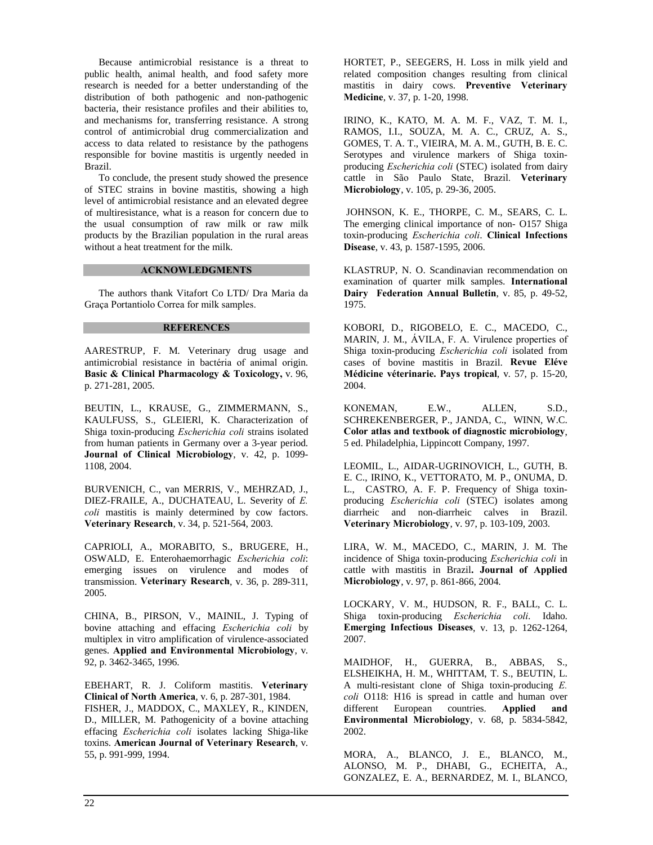Because antimicrobial resistance is a threat to public health, animal health, and food safety more research is needed for a better understanding of the distribution of both pathogenic and non-pathogenic bacteria, their resistance profiles and their abilities to, and mechanisms for, transferring resistance. A strong control of antimicrobial drug commercialization and access to data related to resistance by the pathogens responsible for bovine mastitis is urgently needed in Brazil.

To conclude, the present study showed the presence of STEC strains in bovine mastitis, showing a high level of antimicrobial resistance and an elevated degree of multiresistance, what is a reason for concern due to the usual consumption of raw milk or raw milk products by the Brazilian population in the rural areas without a heat treatment for the milk.

## **ACKNOWLEDGMENTS**

The authors thank Vitafort Co LTD/ Dra Maria da Graça Portantiolo Correa for milk samples.

## **REFERENCES**

AARESTRUP, F. M. Veterinary drug usage and AARESTRUP, F. M. Veterinary drug usage and<br>antimicrobial resistance in bactéria of animal origin. **EXTRUP, F. M. Veterinary drug usage and crobial resistance in bactéria of animal origin.<br><b>& Clinical Pharmacology** & **Toxicology**, v. 96, p. 271-281, 2005.

BEUTIN, L., KRAUSE, G., ZIMMERMANN, S., KAULFUSS, S., GLEIERl, K. Characterization of BEUTIN, L., KRAUSE, G., ZIMMERMANN, S.,<br>KAULFUSS, S., GLEIERI, K. Characterization of<br>Shiga toxin-producing *Escherichia coli* strains isolated Shiga toxin-producing *Escherichia coli* strains isolated from human patients in Germany over a 3-year period.<br>**Journal of Clinical Microbiology**, v. 42, p. 1099-1108, 2004.

BURVENICH, C., van MERRIS, V., MEHRZAD, J., BURVENICH, C., van MERRIS, V., MEHRZAD, J.,<br>DIEZ-FRAILE, A., DUCHATEAU, L. Severity of *E*. DIEZ-FRAILE, A., DUCHATEAU, L. Severity of *E. coli* mastitis is mainly determined by cow factors.<br>**Veterinary Research**, v. 34, p. 521-564, 2003.

CAPRIOLI, A., MORABITO, S., BRUGERE, H., OSWALD, E. Enterohaemorrhagic Escherichia coli: emerging issues on virulence and modes of OSWALD, E. Enterohaemorrhagic *Escherichia coli*:<br>emerging issues on virulence and modes of<br>transmission. **Veterinary Research**, v. 36, p. 289-311, 2005.

CHINA, B., PIRSON, V., MAINIL, J. Typing of l<br>CHINA, B., PIRSON, V., MAINIL, J. Typing of<br>bovine attaching and effacing *Escherichia coli* by multiplex in vitro amplification of virulence-associated bovine attaching and effacing *Escherichia coli* by multiplex in vitro amplification of virulence-associated genes. **Applied and Environmental Microbiology**, v. 92, p. 3462-3465, 1996. EBEHART, R. J. Coliform mastitis. **Veterinary Clinical**

**RT, R. J. Coliform mastitis. Veterinary<br><b>of North America**, v. 6, p. 287-301, 1984. FISHER, J., MADDOX, C., MAXLEY, R., KINDEN, D., MILLER, M. Pathogenicity of a bovine attaching FISHER, J., MADDOX, C., MAXLEY, R., KINDEN,<br>D., MILLER, M. Pathogenicity of a bovine attaching<br>effacing *Escherichia coli* isolates lacking Shiga-like D., MILLER, M. Pathogenicity of a bovine attaching<br>effacing *Escherichia coli* isolates lacking Shiga-like<br>toxins. **American Journal of Veterinary Research**, v. 55, p. 991-999, 1994.

HORTET, P., SEEGERS, H. Loss in milk yield and related composition changes resulting from clinical HORTET, P., SEEGERS, H. Loss in milk yield and related composition changes resulting from clinical mastitis in dairy cows. **Preventive Veterinary Media** control Medicine, v. 37, p. 1-20, 1998.

IRINO, K., KATO, M. A. M. F., VAZ, T. M. I., RAMOS, I.I., SOUZA, M. A. C., CRUZ, A. S., GOMES, T. A. T., VIEIRA, M. A. M., GUTH, B. E. C. Serotypes and virulence markers of Shiga toxin- GOMES, T. A. T., VIEIRA, M. A. M., GUTH, B. E. C.<br>Serotypes and virulence markers of Shiga toxin-<br>producing *Escherichia coli* (STEC) isolated from dairy Serotypes and virulence markers of Shiga toxin-<br>producing *Escherichia coli* (STEC) isolated from dairy<br>cattle in São Paulo State, Brazil. Veterinary **broducing** *Esc* Microbiology, v. 105, p. 29-36, 2005.

JOHNSON, K. E., THORPE, C. M., SEARS, C. L. The emerging clinical importance of non- O157 Shiga toxin-producing Escherichia coli. **Clinical Infections** Disease, v. 43, p. 1587-1595, 2006.

KLASTRUP, N. O. Scandinavian recommendation on examination of quarter milk samples. **International Federation Annual Bulletin**, v. 85, p. 49-52, 1975.

KOBORI, D., RIGOBELO, E. C., MACEDO, C., MARIN, J. M., ÁVILA, F. A. Virulence properties of KOBORI, D., RIGOBELO, E. C., MACEDO, C.,<br>MARIN, J. M., ÁVILA, F. A. Virulence properties of<br>Shiga toxin-producing *Escherichia coli* isolated from MARIN, J. M., ÁVILA, F. A. Virulence properties of Shiga toxin-producing *Escherichia coli* isolated from cases of bovine mastitis in Brazil. **Revue Eléve** Shiga toxin-producing *Escherichia coli* isolated from<br>cases of bovine mastitis in Brazil. **Revue Eléve**<br>**Médicine véterinarie. Pays tropical**, v. 57, p. 15-20, 2004.

KONEMAN, E.W., ALLEN, S.D., SCHREKENBERGER, P., JANDA, C., WINN, W.C. **Color atlas and textbook of diagnostic microbiology**, 5 ed. Philadelphia, Lippincott Company, 1997.

LEOMIL, L., AIDAR-UGRINOVICH, L., GUTH, B. E. C., IRINO, K., VETTORATO, M. P., ONUMA, D.<br>L., CASTRO, A. F. P. Frequency of Shiga toxin-<br>producing *Escherichia coli* (STEC) isolates among L., CASTRO, A. F. P. Frequency of Shiga toxin producing *Escherichia coli* (STEC) isolates among<br>diarrheic and non-diarrheic calves in Brazil.<br>**Veterinary Microbiology**, v. 97, p. 103-109, 2003.

LIRA, W. M., MACEDO, C., MARIN, J. M. The LIRA, W. M., MACEDO, C., MARIN, J. M. The incidence of Shiga toxin-producing *Escherichia coli* in cattle with mastitis in Brazil**. Journal of Applied** Microbiology, v. 97, p. 861-866, 2004.

LOCKARY, V. M., HUDSON, R. F., BALL, C. L. EOCKARY, V. M., HUDSON, R. F., BALL, C. L.<br>Shiga toxin-producing *Escherichia coli*. Idaho. I, V. M., HUDSON, R. F., BALL, C. L.<br>in-producing *Escherichia coli*. Idaho.<br>**Infectious Diseases**, v. 13, p. 1262-1264, 2007.

MAIDHOF, H., GUERRA, B., ABBAS, S., ELSHEIKHA, H. M., WHITTAM, T. S., BEUTIN, L. MAIDHOF, H., GUERRA, B., ABBAS, S.,<br>ELSHEIKHA, H. M., WHITTAM, T. S., BEUTIN, L.<br>A multi-resistant clone of Shiga toxin-producing E. O118: H16 is spread in cattle and human over **Environmental Microbiology**, v. 68, p. 5834-5842, A multi-resistant clone of Shiga toxin-producing *E.*<br> *coli* O118: H16 is spread in cattle and human over<br>
different European countries. **Applied and** 2002.

MORA, A., BLANCO, J. E., BLANCO, M., ALONSO, M. P., DHABI, G., ECHEITA, A., GONZALEZ, E. A., BERNARDEZ, M. I., BLANCO,